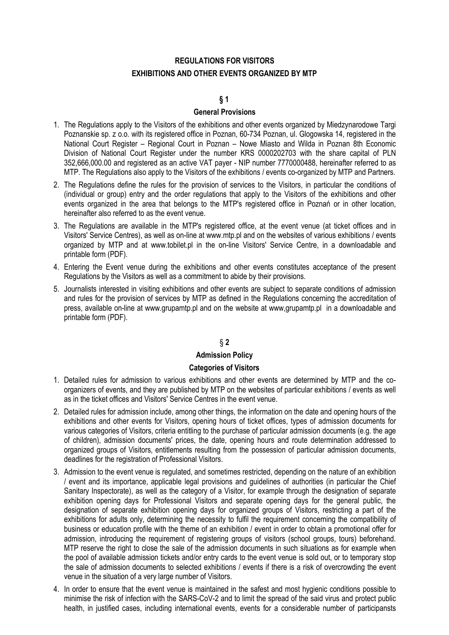# **REGULATIONS FOR VISITORS EXHIBITIONS AND OTHER EVENTS ORGANIZED BY MTP**

# **§ 1**

## **General Provisions**

- 1. The Regulations apply to the Visitors of the exhibitions and other events organized by Miedzynarodowe Targi Poznanskie sp. z o.o. with its registered office in Poznan, 60-734 Poznan, ul. Glogowska 14, registered in the National Court Register – Regional Court in Poznan – Nowe Miasto and Wilda in Poznan 8th Economic Division of National Court Register under the number KRS 0000202703 with the share capital of PLN 352,666,000.00 and registered as an active VAT payer - NIP number 7770000488, hereinafter referred to as MTP. The Regulations also apply to the Visitors of the exhibitions / events co-organized by MTP and Partners.
- 2. The Regulations define the rules for the provision of services to the Visitors, in particular the conditions of (individual or group) entry and the order regulations that apply to the Visitors of the exhibitions and other events organized in the area that belongs to the MTP's registered office in Poznań or in other location, hereinafter also referred to as the event venue.
- 3. The Regulations are available in the MTP's registered office, at the event venue (at ticket offices and in Visitors' Service Centres), as well as on-line a[t www.mtp.pl a](http://www.mtp.pl/)nd on the websites of various exhibitions / events organized by MTP and at www.tobilet.pl in the on-line Visitors' Service Centre, in a downloadable and printable form (PDF).
- 4. Entering the Event venue during the exhibitions and other events constitutes acceptance of the present Regulations by the Visitors as well as a commitment to abide by their provisions.
- 5. Journalists interested in visiting exhibitions and other events are subject to separate conditions of admission and rules for the provision of services by MTP as defined in the Regulations concerning the accreditation of press, available on-line at www.grupamtp.pl and on the website at www,grupamtp.pl in a downloadable and printable form (PDF).

# § **2**

# **Admission Policy**

## **Categories of Visitors**

- 1. Detailed rules for admission to various exhibitions and other events are determined by MTP and the coorganizers of events, and they are published by MTP on the websites of particular exhibitions / events as well as in the ticket offices and Visitors' Service Centres in the event venue.
- 2. Detailed rules for admission include, among other things, the information on the date and opening hours of the exhibitions and other events for Visitors, opening hours of ticket offices, types of admission documents for various categories of Visitors, criteria entitling to the purchase of particular admission documents (e.g. the age of children), admission documents' prices, the date, opening hours and route determination addressed to organized groups of Visitors, entitlements resulting from the possession of particular admission documents, deadlines for the registration of Professional Visitors.
- 3. Admission to the event venue is regulated, and sometimes restricted, depending on the nature of an exhibition / event and its importance, applicable legal provisions and guidelines of authorities (in particular the Chief Sanitary Inspectorate), as well as the category of a Visitor, for example through the designation of separate exhibition opening days for Professional Visitors and separate opening days for the general public, the designation of separate exhibition opening days for organized groups of Visitors, restricting a part of the exhibitions for adults only, determining the necessity to fulfil the requirement concerning the compatibility of business or education profile with the theme of an exhibition / event in order to obtain a promotional offer for admission, introducing the requirement of registering groups of visitors (school groups, tours) beforehand. MTP reserve the right to close the sale of the admission documents in such situations as for example when the pool of available admission tickets and/or entry cards to the event venue is sold out, or to temporary stop the sale of admission documents to selected exhibitions / events if there is a risk of overcrowding the event venue in the situation of a very large number of Visitors.
- 4. In order to ensure that the event venue is maintained in the safest and most hygienic conditions possible to minimise the risk of infection with the SARS-CoV-2 and to limit the spread of the said virus and protect public health, in justified cases, including international events, events for a considerable number of participansts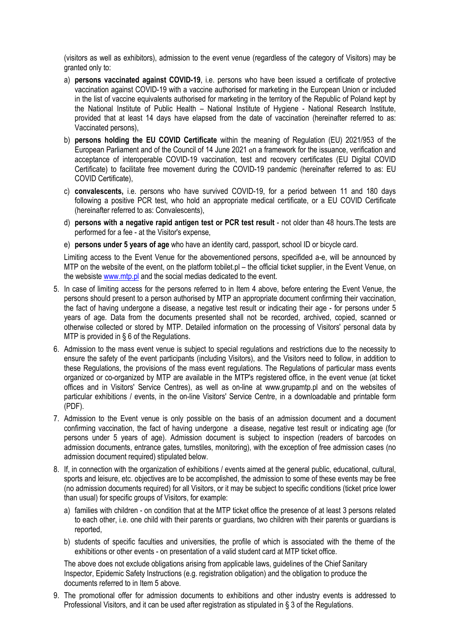(visitors as well as exhibitors), admission to the event venue (regardless of the category of Visitors) may be granted only to:

- a) **persons vaccinated against COVID-19**, i.e. persons who have been issued a certificate of protective vaccination against COVID-19 with a vaccine authorised for marketing in the European Union or included in the list of vaccine equivalents authorised for marketing in the territory of the Republic of Poland kept by the National Institute of Public Health – National Institute of Hygiene - National Research Institute, provided that at least 14 days have elapsed from the date of vaccination (hereinafter referred to as: Vaccinated persons),
- b) **persons holding the EU COVID Certificate** within the meaning of Regulation (EU) 2021/953 of the European Parliament and of the Council of 14 June 2021 on a framework for the issuance, verification and acceptance of interoperable COVID-19 vaccination, test and recovery certificates (EU Digital COVID Certificate) to facilitate free movement during the COVID-19 pandemic (hereinafter referred to as: EU COVID Certificate),
- c) **convalescents,** i.e. persons who have survived COVID-19, for a period between 11 and 180 days following a positive PCR test, who hold an appropriate medical certificate, or a EU COVID Certificate (hereinafter referred to as: Convalescents),
- d) **persons with a negative rapid antigen test or PCR test result** not older than 48 hours.The tests are performed for a fee - at the Visitor's expense,
- e) **persons under 5 years of age** who have an identity card, passport, school ID or bicycle card.

Limiting access to the Event Venue for the abovementioned persons, specifided a-e, will be announced by MTP on the website of the event, on the platform tobilet.pl – the official ticket supplier, in the Event Venue, on the websist[e www.mtp.pl](http://www.mtp.pl/) and the social medias dedicated to the event.

- 5. In case of limiting access for the persons referred to in Item 4 above, before entering the Event Venue, the persons should present to a person authorised by MTP an appropriate document confirming their vaccination, the fact of having undergone a disease, a negative test result or indicating their age - for persons under 5 years of age. Data from the documents presented shall not be recorded, archived, copied, scanned or otherwise collected or stored by MTP. Detailed information on the processing of Visitors' personal data by MTP is provided in § 6 of the Regulations.
- 6. Admission to the mass event venue is subject to special regulations and restrictions due to the necessity to ensure the safety of the event participants (including Visitors), and the Visitors need to follow, in addition to these Regulations, the provisions of the mass event regulations. The Regulations of particular mass events organized or co-organized by MTP are available in the MTP's registered office, in the event venue (at ticket offices and in Visitors' Service Centres), as well as on-line at www.grupamtp.pl and on the websites of particular exhibitions / events, in the on-line Visitors' Service Centre, in a downloadable and printable form (PDF).
- 7. Admission to the Event venue is only possible on the basis of an admission document and a document confirming vaccination, the fact of having undergone a disease, negative test result or indicating age (for persons under 5 years of age). Admission document is subject to inspection (readers of barcodes on admission documents, entrance gates, turnstiles, monitoring), with the exception of free admission cases (no admission document required) stipulated below.
- 8. If, in connection with the organization of exhibitions / events aimed at the general public, educational, cultural, sports and leisure, etc. objectives are to be accomplished, the admission to some of these events may be free (no admission documents required) for all Visitors, or it may be subject to specific conditions (ticket price lower than usual) for specific groups of Visitors, for example:
	- a) families with children on condition that at the MTP ticket office the presence of at least 3 persons related to each other, i.e. one child with their parents or guardians, two children with their parents or guardians is reported,
	- b) students of specific faculties and universities, the profile of which is associated with the theme of the exhibitions or other events - on presentation of a valid student card at MTP ticket office.

The above does not exclude obligations arising from applicable laws, guidelines of the Chief Sanitary Inspector, Epidemic Safety Instructions (e.g. registration obligation) and the obligation to produce the documents referred to in Item 5 above.

9. The promotional offer for admission documents to exhibitions and other industry events is addressed to Professional Visitors, and it can be used after registration as stipulated in § 3 of the Regulations.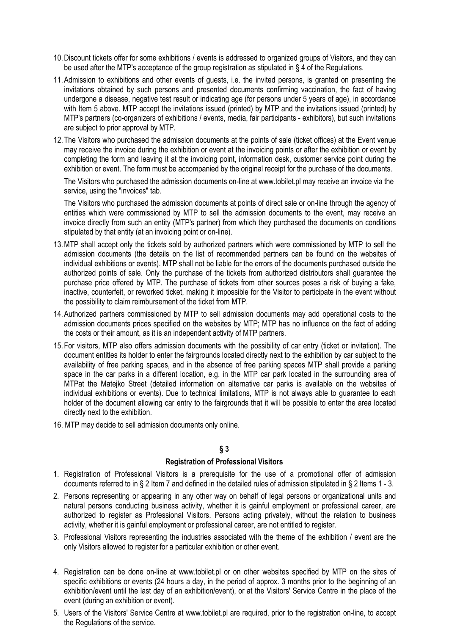- 10.Discount tickets offer for some exhibitions / events is addressed to organized groups of Visitors, and they can be used after the MTP's acceptance of the group registration as stipulated in § 4 of the Regulations.
- 11.Admission to exhibitions and other events of guests, i.e. the invited persons, is granted on presenting the invitations obtained by such persons and presented documents confirming vaccination, the fact of having undergone a disease, negative test result or indicating age (for persons under 5 years of age), in accordance with Item 5 above. MTP accept the invitations issued (printed) by MTP and the invitations issued (printed) by MTP's partners (co-organizers of exhibitions / events, media, fair participants - exhibitors), but such invitations are subject to prior approval by MTP.
- 12.The Visitors who purchased the admission documents at the points of sale (ticket offices) at the Event venue may receive the invoice during the exhibition or event at the invoicing points or after the exhibition or event by completing the form and leaving it at the invoicing point, information desk, customer service point during the exhibition or event. The form must be accompanied by the original receipt for the purchase of the documents.

The Visitors who purchased the admission documents on-line at www.tobilet.pl may receive an invoice via the service, using the "invoices" tab.

The Visitors who purchased the admission documents at points of direct sale or on-line through the agency of entities which were commissioned by MTP to sell the admission documents to the event, may receive an invoice directly from such an entity (MTP's partner) from which they purchased the documents on conditions stipulated by that entity (at an invoicing point or on-line).

- 13.MTP shall accept only the tickets sold by authorized partners which were commissioned by MTP to sell the admission documents (the details on the list of recommended partners can be found on the websites of individual exhibitions or events). MTP shall not be liable for the errors of the documents purchased outside the authorized points of sale. Only the purchase of the tickets from authorized distributors shall guarantee the purchase price offered by MTP. The purchase of tickets from other sources poses a risk of buying a fake, inactive, counterfeit, or reworked ticket, making it impossible for the Visitor to participate in the event without the possibility to claim reimbursement of the ticket from MTP.
- 14.Authorized partners commissioned by MTP to sell admission documents may add operational costs to the admission documents prices specified on the websites by MTP; MTP has no influence on the fact of adding the costs or their amount, as it is an independent activity of MTP partners.
- 15.For visitors, MTP also offers admission documents with the possibility of car entry (ticket or invitation). The document entitles its holder to enter the fairgrounds located directly next to the exhibition by car subject to the availability of free parking spaces, and in the absence of free parking spaces MTP shall provide a parking space in the car parks in a different location, e.g. in the MTP car park located in the surrounding area of MTPat the Matejko Street (detailed information on alternative car parks is available on the websites of individual exhibitions or events). Due to technical limitations, MTP is not always able to guarantee to each holder of the document allowing car entry to the fairgrounds that it will be possible to enter the area located directly next to the exhibition.
- 16. MTP may decide to sell admission documents only online.

# **§ 3**

## **Registration of Professional Visitors**

- 1. Registration of Professional Visitors is a prerequisite for the use of a promotional offer of admission documents referred to in § 2 Item 7 and defined in the detailed rules of admission stipulated in § 2 Items 1 - 3.
- 2. Persons representing or appearing in any other way on behalf of legal persons or organizational units and natural persons conducting business activity, whether it is gainful employment or professional career, are authorized to register as Professional Visitors. Persons acting privately, without the relation to business activity, whether it is gainful employment or professional career, are not entitled to register.
- 3. Professional Visitors representing the industries associated with the theme of the exhibition / event are the only Visitors allowed to register for a particular exhibition or other event.
- 4. Registration can be done on-line at www.tobilet.pl or on other websites specified by MTP on the sites of specific exhibitions or events (24 hours a day, in the period of approx. 3 months prior to the beginning of an exhibition/event until the last day of an exhibition/event), or at the Visitors' Service Centre in the place of the event (during an exhibition or event).
- 5. Users of the Visitors' Service Centre at www.tobilet.pl are required, prior to the registration on-line, to accept the Regulations of the service.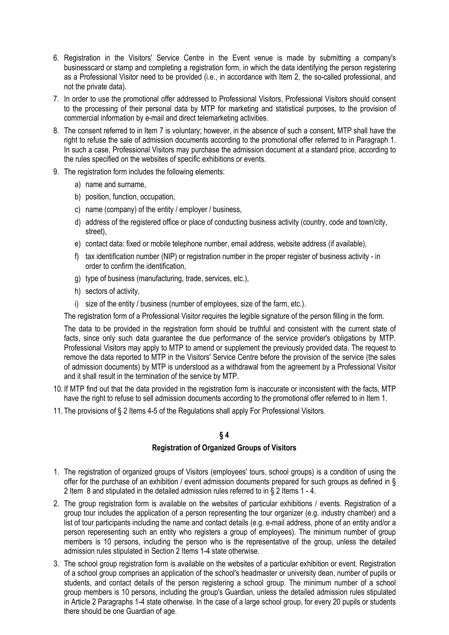- 6. Registration in the Visitors' Service Centre in the Event venue is made by submitting a company's businesscard or stamp and completing a registration form, in which the data identifying the person registering as a Professional Visitor need to be provided (i.e., in accordance with Item 2, the so-called professional, and not the private data).
- 7. In order to use the promotional offer addressed to Professional Visitors, Professional Visitors should consent to the processing of their personal data by MTP for marketing and statistical purposes, to the provision of commercial information by e-mail and direct telemarketing activities.
- 8. The consent referred to in Item 7 is voluntary; however, in the absence of such a consent, MTP shall have the right to refuse the sale of admission documents according to the promotional offer referred to in Paragraph 1. In such a case, Professional Visitors may purchase the admission document at a standard price, according to the rules specified on the websites of specific exhibitions or events.
- 9. The registration form includes the following elements:
	- a) name and surname,
	- b) position, function, occupation,
	- c) name (company) of the entity / employer / business,
	- d) address of the registered office or place of conducting business activity (country, code and town/city, street),
	- e) contact data: fixed or mobile telephone number, email address, website address (if available),
	- f) tax identification number (NIP) or registration number in the proper register of business activity in order to confirm the identification,
	- g) type of business (manufacturing, trade, services, etc.),
	- h) sectors of activity,
	- i) size of the entity / business (number of employees, size of the farm, etc.).

The registration form of a Professional Visitor requires the legible signature of the person filling in the form.

The data to be provided in the registration form should be truthful and consistent with the current state of facts, since only such data guarantee the due performance of the service provider's obligations by MTP. Professional Visitors may apply to MTP to amend or supplement the previously provided data. The request to remove the data reported to MTP in the Visitors' Service Centre before the provision of the service (the sales of admission documents) by MTP is understood as a withdrawal from the agreement by a Professional Visitor and it shall result in the termination of the service by MTP.

- 10. If MTP find out that the data provided in the registration form is inaccurate or inconsistent with the facts, MTP have the right to refuse to sell admission documents according to the promotional offer referred to in Item 1.
- 11. The provisions of § 2 Items 4-5 of the Regulations shall apply For Professional Visitors.

# **§ 4**

# **Registration of Organized Groups of Visitors**

- 1. The registration of organized groups of Visitors (employees' tours, school groups) is a condition of using the offer for the purchase of an exhibition / event admission documents prepared for such groups as defined in § 2 Item 8 and stipulated in the detailed admission rules referred to in § 2 Items 1 - 4.
- 2. The group registration form is available on the websites of particular exhibitions / events. Registration of a group tour includes the application of a person representing the tour organizer (e.g. industry chamber) and a list of tour participants including the name and contact details (e.g. e-mail address, phone of an entity and/or a person reperesenting such an entity who registers a group of employees). The minimum number of group members is 10 persons, including the person who is the representative of the group, unless the detailed admission rules stipulated in Section 2 Items 1-4 state otherwise.
- 3. The school group registration form is available on the websites of a particular exhibition or event. Registration of a school group comprises an application of the school's headmaster or university dean, number of pupils or students, and contact details of the person registering a school group. The minimum number of a school group members is 10 persons, including the group's Guardian, unless the detailed admission rules stipulated in Article 2 Paragraphs 1-4 state otherwise. In the case of a large school group, for every 20 pupils or students there should be one Guardian of age.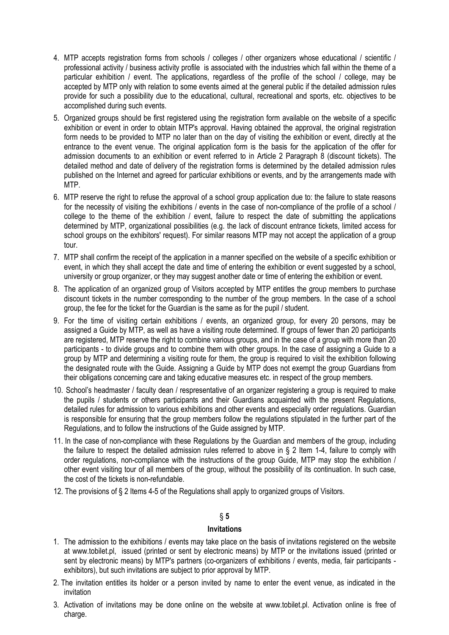- 4. MTP accepts registration forms from schools / colleges / other organizers whose educational / scientific / professional activity / business activity profile is associated with the industries which fall within the theme of a particular exhibition / event. The applications, regardless of the profile of the school / college, may be accepted by MTP only with relation to some events aimed at the general public if the detailed admission rules provide for such a possibility due to the educational, cultural, recreational and sports, etc. objectives to be accomplished during such events.
- 5. Organized groups should be first registered using the registration form available on the website of a specific exhibition or event in order to obtain MTP's approval. Having obtained the approval, the original registration form needs to be provided to MTP no later than on the day of visiting the exhibition or event, directly at the entrance to the event venue. The original application form is the basis for the application of the offer for admission documents to an exhibition or event referred to in Article 2 Paragraph 8 (discount tickets). The detailed method and date of delivery of the registration forms is determined by the detailed admission rules published on the Internet and agreed for particular exhibitions or events, and by the arrangements made with MTP.
- 6. MTP reserve the right to refuse the approval of a school group application due to: the failure to state reasons for the necessity of visiting the exhibitions / events in the case of non-compliance of the profile of a school / college to the theme of the exhibition / event, failure to respect the date of submitting the applications determined by MTP, organizational possibilities (e.g. the lack of discount entrance tickets, limited access for school groups on the exhibitors' request). For similar reasons MTP may not accept the application of a group tour.
- 7. MTP shall confirm the receipt of the application in a manner specified on the website of a specific exhibition or event, in which they shall accept the date and time of entering the exhibition or event suggested by a school, university or group organizer, or they may suggest another date or time of entering the exhibition or event.
- 8. The application of an organized group of Visitors accepted by MTP entitles the group members to purchase discount tickets in the number corresponding to the number of the group members. In the case of a school group, the fee for the ticket for the Guardian is the same as for the pupil / student.
- 9. For the time of visiting certain exhibitions / events, an organized group, for every 20 persons, may be assigned a Guide by MTP, as well as have a visiting route determined. If groups of fewer than 20 participants are registered, MTP reserve the right to combine various groups, and in the case of a group with more than 20 participants - to divide groups and to combine them with other groups. In the case of assigning a Guide to a group by MTP and determining a visiting route for them, the group is required to visit the exhibition following the designated route with the Guide. Assigning a Guide by MTP does not exempt the group Guardians from their obligations concerning care and taking educative measures etc. in respect of the group members.
- 10. School's headmaster / faculty dean / respresentative of an organizer registering a group is required to make the pupils / students or others participants and their Guardians acquainted with the present Regulations, detailed rules for admission to various exhibitions and other events and especially order regulations. Guardian is responsible for ensuring that the group members follow the regulations stipulated in the further part of the Regulations, and to follow the instructions of the Guide assigned by MTP.
- 11. In the case of non-compliance with these Regulations by the Guardian and members of the group, including the failure to respect the detailed admission rules referred to above in § 2 Item 1-4, failure to comply with order regulations, non-compliance with the instructions of the group Guide, MTP may stop the exhibition / other event visiting tour of all members of the group, without the possibility of its continuation. In such case, the cost of the tickets is non-refundable.
- 12. The provisions of § 2 Items 4-5 of the Regulations shall apply to organized groups of Visitors.

## **Invitations**

- 1. The admission to the exhibitions / events may take place on the basis of invitations registered on the website at www.tobilet.pl, issued (printed or sent by electronic means) by MTP or the invitations issued (printed or sent by electronic means) by MTP's partners (co-organizers of exhibitions / events, media, fair participants exhibitors), but such invitations are subject to prior approval by MTP.
- 2. The invitation entitles its holder or a person invited by name to enter the event venue, as indicated in the invitation
- 3. Activation of invitations may be done online on the website at www.tobilet.pl. Activation online is free of charge.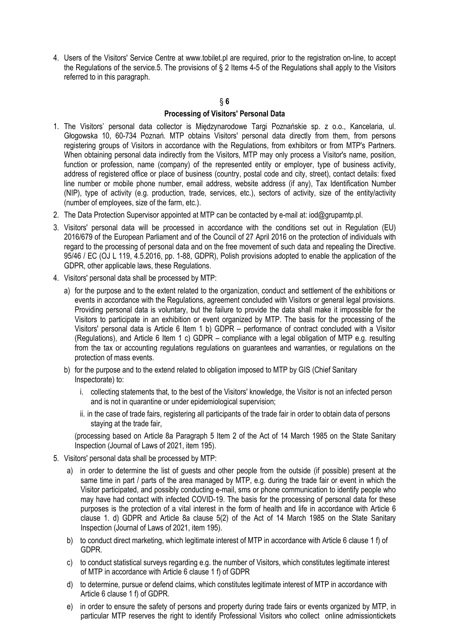4. Users of the Visitors' Service Centre at www.tobilet.pl are required, prior to the registration on-line, to accept the Regulations of the service.5. The provisions of § 2 Items 4-5 of the Regulations shall apply to the Visitors referred to in this paragraph.

# § **6 Processing of Visitors' Personal Data**

- 1. The Visitors' personal data collector is Międzynarodowe Targi Poznańskie sp. z o.o., Kancelaria, ul. Głogowska 10, 60-734 Poznań. MTP obtains Visitors' personal data directly from them, from persons registering groups of Visitors in accordance with the Regulations, from exhibitors or from MTP's Partners. When obtaining personal data indirectly from the Visitors, MTP may only process a Visitor's name, position, function or profession, name (company) of the represented entity or employer, type of business activity, address of registered office or place of business (country, postal code and city, street), contact details: fixed line number or mobile phone number, email address, website address (if any), Tax Identification Number (NIP), type of activity (e.g. production, trade, services, etc.), sectors of activity, size of the entity/activity (number of employees, size of the farm, etc.).
- 2. The Data Protection Supervisor appointed at MTP can be contacted by e-mail at: [iod@grupamtp.pl.](mailto:iod@grupamtp.pl)
- 3. Visitors' personal data will be processed in accordance with the conditions set out in Regulation (EU) 2016/679 of the European Parliament and of the Council of 27 April 2016 on the protection of individuals with regard to the processing of personal data and on the free movement of such data and repealing the Directive. 95/46 / EC (OJ L 119, 4.5.2016, pp. 1-88, GDPR), Polish provisions adopted to enable the application of the GDPR, other applicable laws, these Regulations.
- 4. Visitors' personal data shall be processed by MTP:
	- a) for the purpose and to the extent related to the organization, conduct and settlement of the exhibitions or events in accordance with the Regulations, agreement concluded with Visitors or general legal provisions. Providing personal data is voluntary, but the failure to provide the data shall make it impossible for the Visitors to participate in an exhibition or event organized by MTP. The basis for the processing of the Visitors' personal data is Article 6 Item 1 b) GDPR – performance of contract concluded with a Visitor (Regulations), and Article 6 Item 1 c) GDPR – compliance with a legal obligation of MTP e.g. resulting from the tax or accounting regulations regulations on guarantees and warranties, or regulations on the protection of mass events.
	- b) for the purpose and to the extend related to obligation imposed to MTP by GIS (Chief Sanitary Inspectorate) to:
		- i. collecting statements that, to the best of the Visitors' knowledge, the Visitor is not an infected person and is not in quarantine or under epidemiological supervision;
		- ii. in the case of trade fairs, registering all participants of the trade fair in order to obtain data of persons staying at the trade fair,

(processing based on Article 8a Paragraph 5 Item 2 of the Act of 14 March 1985 on the State Sanitary Inspection (Journal of Laws of 2021, item 195).

- 5. Visitors' personal data shall be processed by MTP:
	- a) in order to determine the list of guests and other people from the outside (if possible) present at the same time in part / parts of the area managed by MTP, e.g. during the trade fair or event in which the Visitor participated, and possibly conducting e-mail, sms or phone communication to identify people who may have had contact with infected COVID-19. The basis for the processing of personal data for these purposes is the protection of a vital interest in the form of health and life in accordance with Article 6 clause 1. d) GDPR and Article 8a clause 5(2) of the Act of 14 March 1985 on the State Sanitary Inspection (Journal of Laws of 2021, item 195).
	- b) to conduct direct marketing, which legitimate interest of MTP in accordance with Article 6 clause 1 f) of GDPR.
	- c) to conduct statistical surveys regarding e.g. the number of Visitors, which constitutes legitimate interest of MTP in accordance with Article 6 clause 1 f) of GDPR
	- d) to determine, pursue or defend claims, which constitutes legitimate interest of MTP in accordance with Article 6 clause 1 f) of GDPR.
	- e) in order to ensure the safety of persons and property during trade fairs or events organized by MTP, in particular MTP reserves the right to identify Professional Visitors who collect online admissiontickets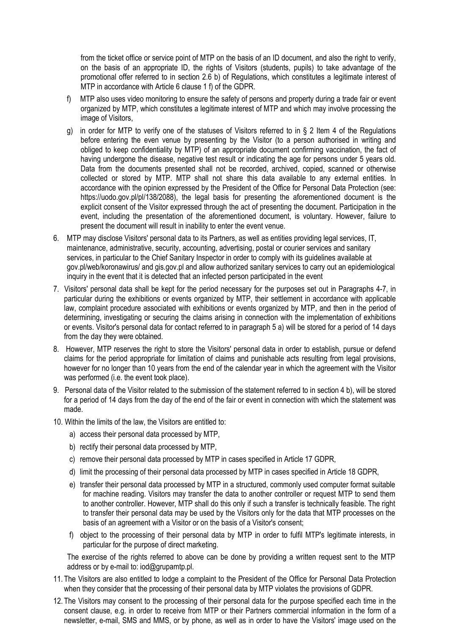from the ticket office or service point of MTP on the basis of an ID document, and also the right to verify, on the basis of an appropriate ID, the rights of Visitors (students, pupils) to take advantage of the promotional offer referred to in section 2.6 b) of Regulations, which constitutes a legitimate interest of MTP in accordance with Article 6 clause 1 f) of the GDPR.

- f) MTP also uses video monitoring to ensure the safety of persons and property during a trade fair or event organized by MTP, which constitutes a legitimate interest of MTP and which may involve processing the image of Visitors,
- g) in order for MTP to verify one of the statuses of Visitors referred to in § 2 Item 4 of the Regulations before entering the even venue by presenting by the Visitor (to a person authorised in writing and obliged to keep confidentiality by MTP) of an appropriate document confirming vaccination, the fact of having undergone the disease, negative test result or indicating the age for persons under 5 years old. Data from the documents presented shall not be recorded, archived, copied, scanned or otherwise collected or stored by MTP. MTP shall not share this data available to any external entities. In accordance with the opinion expressed by the President of the Office for Personal Data Protection (see: https://uodo.gov.pl/pl/138/2088), the legal basis for presenting the aforementioned document is the explicit consent of the Visitor expressed through the act of presenting the document. Participation in the event, including the presentation of the aforementioned document, is voluntary. However, failure to present the document will result in inability to enter the event venue.
- 6. MTP may disclose Visitors' personal data to its Partners, as well as entities providing legal services, IT, maintenance, administrative, security, accounting, advertising, postal or courier services and sanitary services, in particular to the Chief Sanitary Inspector in order to comply with its guidelines available at gov.pl/web/koronawirus/ and gis.gov.pl and allow authorized sanitary services to carry out an epidemiological inquiry in the event that it is detected that an infected person participated in the event
- 7. Visitors' personal data shall be kept for the period necessary for the purposes set out in Paragraphs 4-7, in particular during the exhibitions or events organized by MTP, their settlement in accordance with applicable law, complaint procedure associated with exhibitions or events organized by MTP, and then in the period of determining, investigating or securing the claims arising in connection with the implementation of exhibitions or events. Visitor's personal data for contact referred to in paragraph 5 a) will be stored for a period of 14 days from the day they were obtained.
- 8. However, MTP reserves the right to store the Visitors' personal data in order to establish, pursue or defend claims for the period appropriate for limitation of claims and punishable acts resulting from legal provisions, however for no longer than 10 years from the end of the calendar year in which the agreement with the Visitor was performed (i.e. the event took place).
- 9. Personal data of the Visitor related to the submission of the statement referred to in section 4 b), will be stored for a period of 14 days from the day of the end of the fair or event in connection with which the statement was made.
- 10. Within the limits of the law, the Visitors are entitled to:
	- a) access their personal data processed by MTP,
	- b) rectify their personal data processed by MTP,
	- c) remove their personal data processed by MTP in cases specified in Article 17 GDPR,
	- d) limit the processing of their personal data processed by MTP in cases specified in Article 18 GDPR,
	- e) transfer their personal data processed by MTP in a structured, commonly used computer format suitable for machine reading. Visitors may transfer the data to another controller or request MTP to send them to another controller. However, MTP shall do this only if such a transfer is technically feasible. The right to transfer their personal data may be used by the Visitors only for the data that MTP processes on the basis of an agreement with a Visitor or on the basis of a Visitor's consent;
	- f) object to the processing of their personal data by MTP in order to fulfil MTP's legitimate interests, in particular for the purpose of direct marketing.

The exercise of the rights referred to above can be done by providing a written request sent to the MTP address or by e-mail to: iod@grupamtp.pl.

- 11. The Visitors are also entitled to lodge a complaint to the President of the Office for Personal Data Protection when they consider that the processing of their personal data by MTP violates the provisions of GDPR.
- 12. The Visitors may consent to the processing of their personal data for the purpose specified each time in the consent clause, e.g. in order to receive from MTP or their Partners commercial information in the form of a newsletter, e-mail, SMS and MMS, or by phone, as well as in order to have the Visitors' image used on the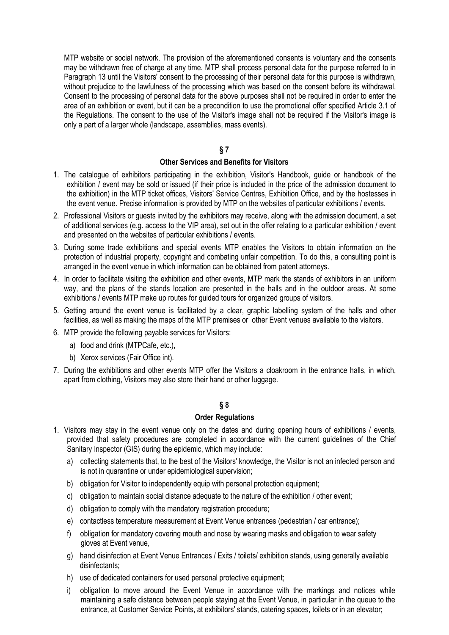MTP website or social network. The provision of the aforementioned consents is voluntary and the consents may be withdrawn free of charge at any time. MTP shall process personal data for the purpose referred to in Paragraph 13 until the Visitors' consent to the processing of their personal data for this purpose is withdrawn, without prejudice to the lawfulness of the processing which was based on the consent before its withdrawal. Consent to the processing of personal data for the above purposes shall not be required in order to enter the area of an exhibition or event, but it can be a precondition to use the promotional offer specified Article 3.1 of the Regulations. The consent to the use of the Visitor's image shall not be required if the Visitor's image is only a part of a larger whole (landscape, assemblies, mass events).

## **§ 7**

### **Other Services and Benefits for Visitors**

- 1. The catalogue of exhibitors participating in the exhibition, Visitor's Handbook, guide or handbook of the exhibition / event may be sold or issued (if their price is included in the price of the admission document to the exhibition) in the MTP ticket offices, Visitors' Service Centres, Exhibition Office, and by the hostesses in the event venue. Precise information is provided by MTP on the websites of particular exhibitions / events.
- 2. Professional Visitors or guests invited by the exhibitors may receive, along with the admission document, a set of additional services (e.g. access to the VIP area), set out in the offer relating to a particular exhibition / event and presented on the websites of particular exhibitions / events.
- 3. During some trade exhibitions and special events MTP enables the Visitors to obtain information on the protection of industrial property, copyright and combating unfair competition. To do this, a consulting point is arranged in the event venue in which information can be obtained from patent attorneys.
- 4. In order to facilitate visiting the exhibition and other events, MTP mark the stands of exhibitors in an uniform way, and the plans of the stands location are presented in the halls and in the outdoor areas. At some exhibitions / events MTP make up routes for guided tours for organized groups of visitors.
- 5. Getting around the event venue is facilitated by a clear, graphic labelling system of the halls and other facilities, as well as making the maps of the MTP premises or other Event venues available to the visitors.
- 6. MTP provide the following payable services for Visitors:
	- a) food and drink (MTPCafe, etc.),
	- b) Xerox services (Fair Office int).
- 7. During the exhibitions and other events MTP offer the Visitors a cloakroom in the entrance halls, in which, apart from clothing, Visitors may also store their hand or other luggage.

## **§ 8**

#### **Order Regulations**

- 1. Visitors may stay in the event venue only on the dates and during opening hours of exhibitions / events, provided that safety procedures are completed in accordance with the current guidelines of the Chief Sanitary Inspector (GIS) during the epidemic, which may include:
	- a) collecting statements that, to the best of the Visitors' knowledge, the Visitor is not an infected person and is not in quarantine or under epidemiological supervision;
	- b) obligation for Visitor to independently equip with personal protection equipment;
	- c) obligation to maintain social distance adequate to the nature of the exhibition / other event;
	- d) obligation to comply with the mandatory registration procedure;
	- e) contactless temperature measurement at Event Venue entrances (pedestrian / car entrance);
	- f) obligation for mandatory covering mouth and nose by wearing masks and obligation to wear safety gloves at Event venue,
	- g) hand disinfection at Event Venue Entrances / Exits / toilets/ exhibition stands, using generally available disinfectants;
	- h) use of dedicated containers for used personal protective equipment;
	- i) obligation to move around the Event Venue in accordance with the markings and notices while maintaining a safe distance between people staying at the Event Venue, in particular in the queue to the entrance, at Customer Service Points, at exhibitors' stands, catering spaces, toilets or in an elevator;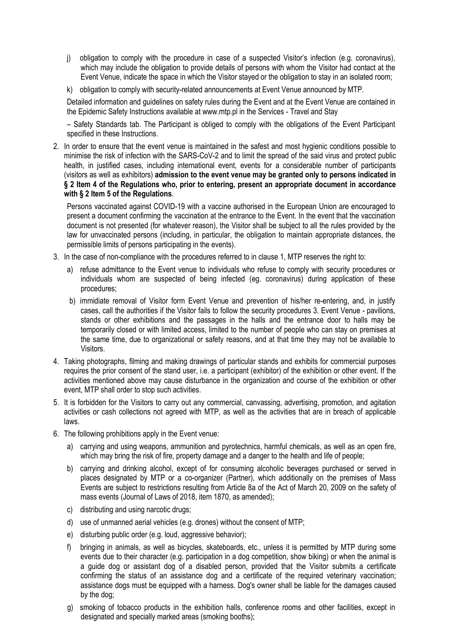- j) obligation to comply with the procedure in case of a suspected Visitor's infection (e.g. coronavirus), which may include the obligation to provide details of persons with whom the Visitor had contact at the Event Venue, indicate the space in which the Visitor stayed or the obligation to stay in an isolated room;
- k) obligation to comply with security-related announcements at Event Venue announced by MTP.

Detailed information and guidelines on safety rules during the Event and at the Event Venue are contained in the Epidemic Safety Instructions available at www.mtp.pl in the Services - Travel and Stay

– Safety Standards tab. The Participant is obliged to comply with the obligations of the Event Participant specified in these Instructions.

2. In order to ensure that the event venue is maintained in the safest and most hygienic conditions possible to minimise the risk of infection with the SARS-CoV-2 and to limit the spread of the said virus and protect public health, in justified cases, including international event, events for a considerable number of participants (visitors as well as exhibitors) **admission to the event venue may be granted only to persons indicated in § 2 Item 4 of the Regulations who, prior to entering, present an appropriate document in accordance with § 2 Item 5 of the Regulations**.

Persons vaccinated against COVID-19 with a vaccine authorised in the European Union are encouraged to present a document confirming the vaccination at the entrance to the Event. In the event that the vaccination document is not presented (for whatever reason), the Visitor shall be subject to all the rules provided by the law for unvaccinated persons (including, in particular, the obligation to maintain appropriate distances, the permissible limits of persons participating in the events).

- 3. In the case of non-compliance with the procedures referred to in clause 1, MTP reserves the right to:
	- a) refuse admittance to the Event venue to individuals who refuse to comply with security procedures or individuals whom are suspected of being infected (eg. coronavirus) during application of these procedures;
	- b) immidiate removal of Visitor form Event Venue and prevention of his/her re-entering, and, in justify cases, call the authorities if the Visitor fails to follow the security procedures 3. Event Venue - pavilions, stands or other exhibitions and the passages in the halls and the entrance door to halls may be temporarily closed or with limited access, limited to the number of people who can stay on premises at the same time, due to organizational or safety reasons, and at that time they may not be available to Visitors.
- 4. Taking photographs, filming and making drawings of particular stands and exhibits for commercial purposes requires the prior consent of the stand user, i.e. a participant (exhibitor) of the exhibition or other event. If the activities mentioned above may cause disturbance in the organization and course of the exhibition or other event, MTP shall order to stop such activities.
- 5. It is forbidden for the Visitors to carry out any commercial, canvassing, advertising, promotion, and agitation activities or cash collections not agreed with MTP, as well as the activities that are in breach of applicable laws.
- 6. The following prohibitions apply in the Event venue:
	- a) carrying and using weapons, ammunition and pyrotechnics, harmful chemicals, as well as an open fire, which may bring the risk of fire, property damage and a danger to the health and life of people;
	- b) carrying and drinking alcohol, except of for consuming alcoholic beverages purchased or served in places designated by MTP or a co-organizer (Partner), which additionally on the premises of Mass Events are subject to restrictions resulting from Article 8a of the Act of March 20, 2009 on the safety of mass events (Journal of Laws of 2018, item 1870, as amended);
	- c) distributing and using narcotic drugs;
	- d) use of unmanned aerial vehicles (e.g. drones) without the consent of MTP;
	- e) disturbing public order (e.g. loud, aggressive behavior);
	- f) bringing in animals, as well as bicycles, skateboards, etc., unless it is permitted by MTP during some events due to their character (e.g. participation in a dog competition, show biking) or when the animal is a guide dog or assistant dog of a disabled person, provided that the Visitor submits a certificate confirming the status of an assistance dog and a certificate of the required veterinary vaccination; assistance dogs must be equipped with a harness. Dog's owner shall be liable for the damages caused by the dog;
	- g) smoking of tobacco products in the exhibition halls, conference rooms and other facilities, except in designated and specially marked areas (smoking booths);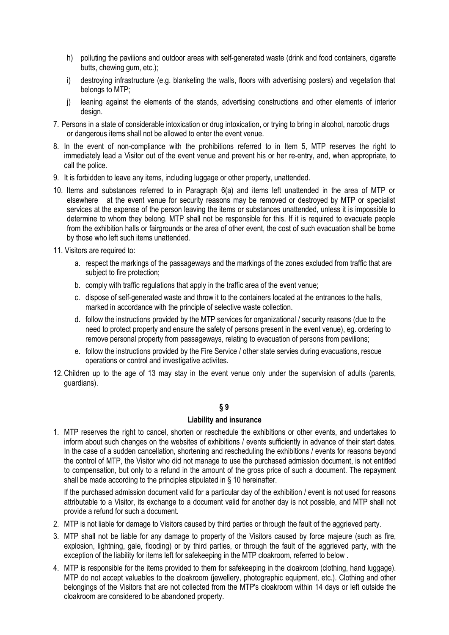- h) polluting the pavilions and outdoor areas with self-generated waste (drink and food containers, cigarette butts, chewing gum, etc.);
- i) destroying infrastructure (e.g. blanketing the walls, floors with advertising posters) and vegetation that belongs to MTP;
- j) leaning against the elements of the stands, advertising constructions and other elements of interior design.
- 7. Persons in a state of considerable intoxication or drug intoxication, or trying to bring in alcohol, narcotic drugs or dangerous items shall not be allowed to enter the event venue.
- 8. In the event of non-compliance with the prohibitions referred to in Item 5, MTP reserves the right to immediately lead a Visitor out of the event venue and prevent his or her re-entry, and, when appropriate, to call the police.
- 9. It is forbidden to leave any items, including luggage or other property, unattended.
- 10. Items and substances referred to in Paragraph 6(a) and items left unattended in the area of MTP or elsewhere at the event venue for security reasons may be removed or destroyed by MTP or specialist services at the expense of the person leaving the items or substances unattended, unless it is impossible to determine to whom they belong. MTP shall not be responsible for this. If it is required to evacuate people from the exhibition halls or fairgrounds or the area of other event, the cost of such evacuation shall be borne by those who left such items unattended.
- 11. Visitors are required to:
	- a. respect the markings of the passageways and the markings of the zones excluded from traffic that are subject to fire protection;
	- b. comply with traffic regulations that apply in the traffic area of the event venue;
	- c. dispose of self-generated waste and throw it to the containers located at the entrances to the halls, marked in accordance with the principle of selective waste collection.
	- d. follow the instructions provided by the MTP services for organizational / security reasons (due to the need to protect property and ensure the safety of persons present in the event venue), eg. ordering to remove personal property from passageways, relating to evacuation of persons from pavilions;
	- e. follow the instructions provided by the Fire Service / other state servies during evacuations, rescue operations or control and investigative activites.
- 12.Children up to the age of 13 may stay in the event venue only under the supervision of adults (parents, guardians).

## **Liability and insurance**

1. MTP reserves the right to cancel, shorten or reschedule the exhibitions or other events, and undertakes to inform about such changes on the websites of exhibitions / events sufficiently in advance of their start dates. In the case of a sudden cancellation, shortening and rescheduling the exhibitions / events for reasons beyond the control of MTP, the Visitor who did not manage to use the purchased admission document, is not entitled to compensation, but only to a refund in the amount of the gross price of such a document. The repayment shall be made according to the principles stipulated in § 10 hereinafter.

If the purchased admission document valid for a particular day of the exhibition / event is not used for reasons attributable to a Visitor, its exchange to a document valid for another day is not possible, and MTP shall not provide a refund for such a document.

- 2. MTP is not liable for damage to Visitors caused by third parties or through the fault of the aggrieved party.
- 3. MTP shall not be liable for any damage to property of the Visitors caused by force majeure (such as fire, explosion, lightning, gale, flooding) or by third parties, or through the fault of the aggrieved party, with the exception of the liability for items left for safekeeping in the MTP cloakroom, referred to below .
- 4. MTP is responsible for the items provided to them for safekeeping in the cloakroom (clothing, hand luggage). MTP do not accept valuables to the cloakroom (jewellery, photographic equipment, etc.). Clothing and other belongings of the Visitors that are not collected from the MTP's cloakroom within 14 days or left outside the cloakroom are considered to be abandoned property.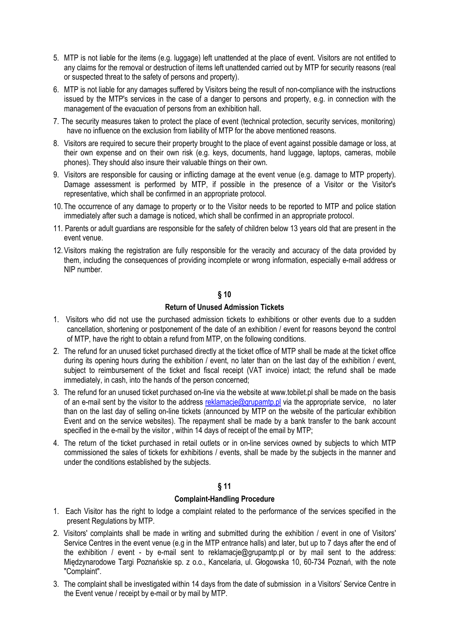- 5. MTP is not liable for the items (e.g. luggage) left unattended at the place of event. Visitors are not entitled to any claims for the removal or destruction of items left unattended carried out by MTP for security reasons (real or suspected threat to the safety of persons and property).
- 6. MTP is not liable for any damages suffered by Visitors being the result of non-compliance with the instructions issued by the MTP's services in the case of a danger to persons and property, e.g. in connection with the management of the evacuation of persons from an exhibition hall.
- 7. The security measures taken to protect the place of event (technical protection, security services, monitoring) have no influence on the exclusion from liability of MTP for the above mentioned reasons.
- 8. Visitors are required to secure their property brought to the place of event against possible damage or loss, at their own expense and on their own risk (e.g. keys, documents, hand luggage, laptops, cameras, mobile phones). They should also insure their valuable things on their own.
- 9. Visitors are responsible for causing or inflicting damage at the event venue (e.g. damage to MTP property). Damage assessment is performed by MTP, if possible in the presence of a Visitor or the Visitor's representative, which shall be confirmed in an appropriate protocol.
- 10. The occurrence of any damage to property or to the Visitor needs to be reported to MTP and police station immediately after such a damage is noticed, which shall be confirmed in an appropriate protocol.
- 11. Parents or adult guardians are responsible for the safety of children below 13 years old that are present in the event venue.
- 12. Visitors making the registration are fully responsible for the veracity and accuracy of the data provided by them, including the consequences of providing incomplete or wrong information, especially e-mail address or NIP number.

## **Return of Unused Admission Tickets**

- 1. Visitors who did not use the purchased admission tickets to exhibitions or other events due to a sudden cancellation, shortening or postponement of the date of an exhibition / event for reasons beyond the control of MTP, have the right to obtain a refund from MTP, on the following conditions.
- 2. The refund for an unused ticket purchased directly at the ticket office of MTP shall be made at the ticket office during its opening hours during the exhibition / event, no later than on the last day of the exhibition / event, subject to reimbursement of the ticket and fiscal receipt (VAT invoice) intact; the refund shall be made immediately, in cash, into the hands of the person concerned;
- 3. The refund for an unused ticket purchased on-line via the website at www.tobilet.pl shall be made on the basis of an e-mail sent by the visitor to the address [reklamacje@grupamtp.pl](mailto:reklamacje@grupamtp.pl) via the appropriate service, no later than on the last day of selling on-line tickets (announced by MTP on the website of the particular exhibition Event and on the service websites). The repayment shall be made by a bank transfer to the bank account specified in the e-mail by the visitor, within 14 days of receipt of the email by MTP;
- 4. The return of the ticket purchased in retail outlets or in on-line services owned by subjects to which MTP commissioned the sales of tickets for exhibitions / events, shall be made by the subjects in the manner and under the conditions established by the subjects.

# **§ 11**

## **Complaint-Handling Procedure**

- 1. Each Visitor has the right to lodge a complaint related to the performance of the services specified in the present Regulations by MTP.
- 2. Visitors' complaints shall be made in writing and submitted during the exhibition / event in one of Visitors' Service Centres in the event venue (e.g in the MTP entrance halls) and later, but up to 7 days after the end of the exhibition / event - by e-mail sent to [reklamacje@grupamtp.pl o](mailto:reklamacje@grupamtp.pl)r by mail sent to the address: Międzynarodowe Targi Poznańskie sp. z o.o., Kancelaria, ul. Głogowska 10, 60-734 Poznań, with the note "Complaint".
- 3. The complaint shall be investigated within 14 days from the date of submission in a Visitors' Service Centre in the Event venue / receipt by e-mail or by mail by MTP.